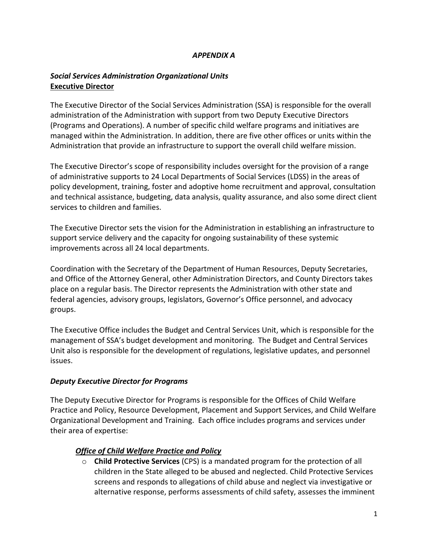## *APPENDIX A*

# *Social Services Administration Organizational Units* **Executive Director**

The Executive Director of the Social Services Administration (SSA) is responsible for the overall administration of the Administration with support from two Deputy Executive Directors (Programs and Operations). A number of specific child welfare programs and initiatives are managed within the Administration. In addition, there are five other offices or units within the Administration that provide an infrastructure to support the overall child welfare mission.

The Executive Director's scope of responsibility includes oversight for the provision of a range of administrative supports to 24 Local Departments of Social Services (LDSS) in the areas of policy development, training, foster and adoptive home recruitment and approval, consultation and technical assistance, budgeting, data analysis, quality assurance, and also some direct client services to children and families.

The Executive Director sets the vision for the Administration in establishing an infrastructure to support service delivery and the capacity for ongoing sustainability of these systemic improvements across all 24 local departments.

Coordination with the Secretary of the Department of Human Resources, Deputy Secretaries, and Office of the Attorney General, other Administration Directors, and County Directors takes place on a regular basis. The Director represents the Administration with other state and federal agencies, advisory groups, legislators, Governor's Office personnel, and advocacy groups.

The Executive Office includes the Budget and Central Services Unit, which is responsible for the management of SSA's budget development and monitoring. The Budget and Central Services Unit also is responsible for the development of regulations, legislative updates, and personnel issues.

## *Deputy Executive Director for Programs*

The Deputy Executive Director for Programs is responsible for the Offices of Child Welfare Practice and Policy, Resource Development, Placement and Support Services, and Child Welfare Organizational Development and Training. Each office includes programs and services under their area of expertise:

## *Office of Child Welfare Practice and Policy*

o **Child Protective Services** (CPS) is a mandated program for the protection of all children in the State alleged to be abused and neglected. Child Protective Services screens and responds to allegations of child abuse and neglect via investigative or alternative response, performs assessments of child safety, assesses the imminent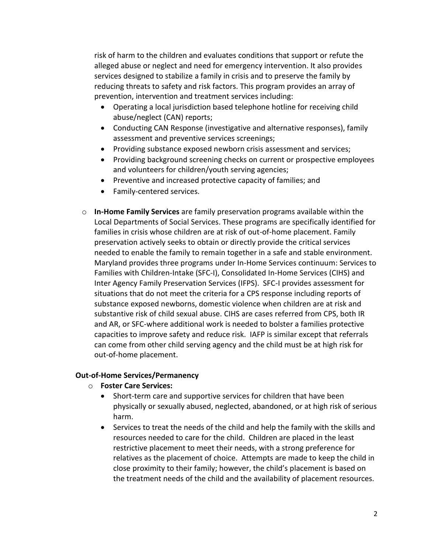risk of harm to the children and evaluates conditions that support or refute the alleged abuse or neglect and need for emergency intervention. It also provides services designed to stabilize a family in crisis and to preserve the family by reducing threats to safety and risk factors. This program provides an array of prevention, intervention and treatment services including:

- Operating a local jurisdiction based telephone hotline for receiving child abuse/neglect (CAN) reports;
- Conducting CAN Response (investigative and alternative responses), family assessment and preventive services screenings;
- Providing substance exposed newborn crisis assessment and services;
- Providing background screening checks on current or prospective employees and volunteers for children/youth serving agencies;
- Preventive and increased protective capacity of families; and
- Family-centered services.
- o **In-Home Family Services** are family preservation programs available within the Local Departments of Social Services. These programs are specifically identified for families in crisis whose children are at risk of out-of-home placement. Family preservation actively seeks to obtain or directly provide the critical services needed to enable the family to remain together in a safe and stable environment. Maryland provides three programs under In-Home Services continuum: Services to Families with Children-Intake (SFC-I), Consolidated In-Home Services (CIHS) and Inter Agency Family Preservation Services (IFPS). SFC-I provides assessment for situations that do not meet the criteria for a CPS response including reports of substance exposed newborns, domestic violence when children are at risk and substantive risk of child sexual abuse. CIHS are cases referred from CPS, both IR and AR, or SFC-where additional work is needed to bolster a families protective capacities to improve safety and reduce risk. IAFP is similar except that referrals can come from other child serving agency and the child must be at high risk for out-of-home placement.

### **Out-of-Home Services/Permanency**

- o **Foster Care Services:**
	- Short-term care and supportive services for children that have been physically or sexually abused, neglected, abandoned, or at high risk of serious harm.
	- Services to treat the needs of the child and help the family with the skills and resources needed to care for the child. Children are placed in the least restrictive placement to meet their needs, with a strong preference for relatives as the placement of choice. Attempts are made to keep the child in close proximity to their family; however, the child's placement is based on the treatment needs of the child and the availability of placement resources.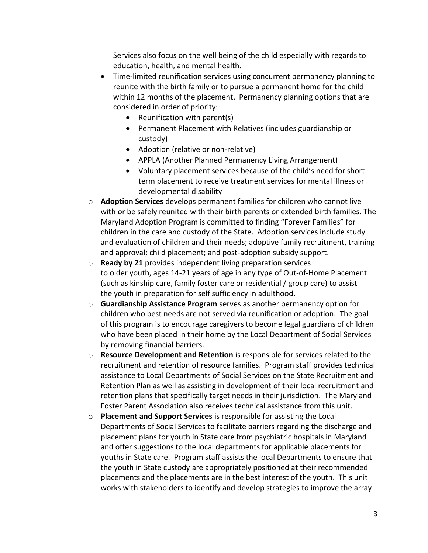Services also focus on the well being of the child especially with regards to education, health, and mental health.

- Time-limited reunification services using concurrent permanency planning to reunite with the birth family or to pursue a permanent home for the child within 12 months of the placement. Permanency planning options that are considered in order of priority:
	- Reunification with parent(s)
	- Permanent Placement with Relatives (includes guardianship or custody)
	- Adoption (relative or non-relative)
	- APPLA (Another Planned Permanency Living Arrangement)
	- Voluntary placement services because of the child's need for short term placement to receive treatment services for mental illness or developmental disability
- o **Adoption Services** develops permanent families for children who cannot live with or be safely reunited with their birth parents or extended birth families. The Maryland Adoption Program is committed to finding "Forever Families" for children in the care and custody of the State. Adoption services include study and evaluation of children and their needs; adoptive family recruitment, training and approval; child placement; and post-adoption subsidy support.
- o **Ready by 21** provides independent living preparation services to older youth, ages 14-21 years of age in any type of Out-of-Home Placement (such as kinship care, family foster care or residential / group care) to assist the youth in preparation for self sufficiency in adulthood.
- o **Guardianship Assistance Program** serves as another permanency option for children who best needs are not served via reunification or adoption. The goal of this program is to encourage caregivers to become legal guardians of children who have been placed in their home by the Local Department of Social Services by removing financial barriers.
- o **Resource Development and Retention** is responsible for services related to the recruitment and retention of resource families. Program staff provides technical assistance to Local Departments of Social Services on the State Recruitment and Retention Plan as well as assisting in development of their local recruitment and retention plans that specifically target needs in their jurisdiction. The Maryland Foster Parent Association also receives technical assistance from this unit.
- o **Placement and Support Services** is responsible for assisting the Local Departments of Social Services to facilitate barriers regarding the discharge and placement plans for youth in State care from psychiatric hospitals in Maryland and offer suggestions to the local departments for applicable placements for youths in State care. Program staff assists the local Departments to ensure that the youth in State custody are appropriately positioned at their recommended placements and the placements are in the best interest of the youth. This unit works with stakeholders to identify and develop strategies to improve the array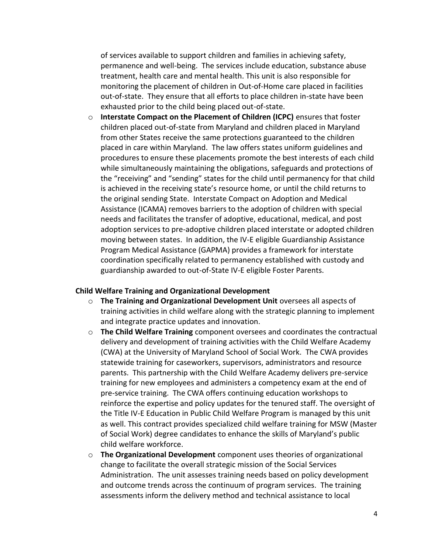of services available to support children and families in achieving safety, permanence and well-being. The services include education, substance abuse treatment, health care and mental health. This unit is also responsible for monitoring the placement of children in Out-of-Home care placed in facilities out-of-state. They ensure that all efforts to place children in-state have been exhausted prior to the child being placed out-of-state.

o **Interstate Compact on the Placement of Children (ICPC)** ensures that foster children placed out-of-state from Maryland and children placed in Maryland from other States receive the same protections guaranteed to the children placed in care within Maryland. The law offers states uniform guidelines and procedures to ensure these placements promote the best interests of each child while simultaneously maintaining the obligations, safeguards and protections of the "receiving" and "sending" states for the child until permanency for that child is achieved in the receiving state's resource home, or until the child returns to the original sending State. Interstate Compact on Adoption and Medical Assistance (ICAMA) removes barriers to the adoption of children with special needs and facilitates the transfer of adoptive, educational, medical, and post adoption services to pre-adoptive children placed interstate or adopted children moving between states. In addition, the IV-E eligible Guardianship Assistance Program Medical Assistance (GAPMA) provides a framework for interstate coordination specifically related to permanency established with custody and guardianship awarded to out-of-State IV-E eligible Foster Parents.

#### **Child Welfare Training and Organizational Development**

- o **The Training and Organizational Development Unit** oversees all aspects of training activities in child welfare along with the strategic planning to implement and integrate practice updates and innovation.
- o **The Child Welfare Training** component oversees and coordinates the contractual delivery and development of training activities with the Child Welfare Academy (CWA) at the University of Maryland School of Social Work. The CWA provides statewide training for caseworkers, supervisors, administrators and resource parents. This partnership with the Child Welfare Academy delivers pre-service training for new employees and administers a competency exam at the end of pre-service training. The CWA offers continuing education workshops to reinforce the expertise and policy updates for the tenured staff. The oversight of the Title IV-E Education in Public Child Welfare Program is managed by this unit as well. This contract provides specialized child welfare training for MSW (Master of Social Work) degree candidates to enhance the skills of Maryland's public child welfare workforce.
- o **The Organizational Development** component uses theories of organizational change to facilitate the overall strategic mission of the Social Services Administration. The unit assesses training needs based on policy development and outcome trends across the continuum of program services. The training assessments inform the delivery method and technical assistance to local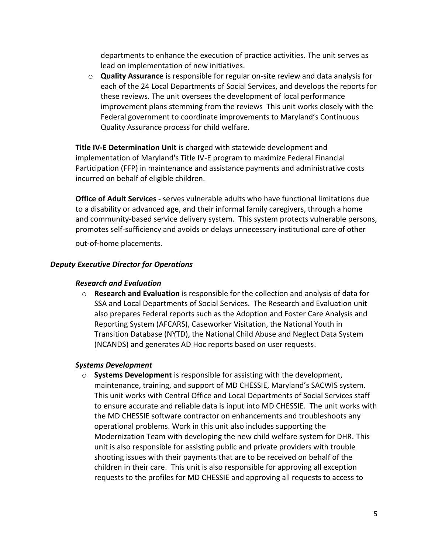departments to enhance the execution of practice activities. The unit serves as lead on implementation of new initiatives.

o **Quality Assurance** is responsible for regular on-site review and data analysis for each of the 24 Local Departments of Social Services, and develops the reports for these reviews. The unit oversees the development of local performance improvement plans stemming from the reviews This unit works closely with the Federal government to coordinate improvements to Maryland's Continuous Quality Assurance process for child welfare.

**Title IV-E Determination Unit** is charged with statewide development and implementation of Maryland's Title IV-E program to maximize Federal Financial Participation (FFP) in maintenance and assistance payments and administrative costs incurred on behalf of eligible children.

**Office of Adult Services -** serves vulnerable adults who have functional limitations due to a disability or advanced age, and their informal family caregivers, through a home and community-based service delivery system. This system protects vulnerable persons, promotes self-sufficiency and avoids or delays unnecessary institutional care of other

out-of-home placements.

### *Deputy Executive Director for Operations*

### *Research and Evaluation*

o **Research and Evaluation** is responsible for the collection and analysis of data for SSA and Local Departments of Social Services. The Research and Evaluation unit also prepares Federal reports such as the Adoption and Foster Care Analysis and Reporting System (AFCARS), Caseworker Visitation, the National Youth in Transition Database (NYTD), the National Child Abuse and Neglect Data System (NCANDS) and generates AD Hoc reports based on user requests.

### *Systems Development*

o **Systems Development** is responsible for assisting with the development, maintenance, training, and support of MD CHESSIE, Maryland's SACWIS system. This unit works with Central Office and Local Departments of Social Services staff to ensure accurate and reliable data is input into MD CHESSIE. The unit works with the MD CHESSIE software contractor on enhancements and troubleshoots any operational problems. Work in this unit also includes supporting the Modernization Team with developing the new child welfare system for DHR. This unit is also responsible for assisting public and private providers with trouble shooting issues with their payments that are to be received on behalf of the children in their care. This unit is also responsible for approving all exception requests to the profiles for MD CHESSIE and approving all requests to access to